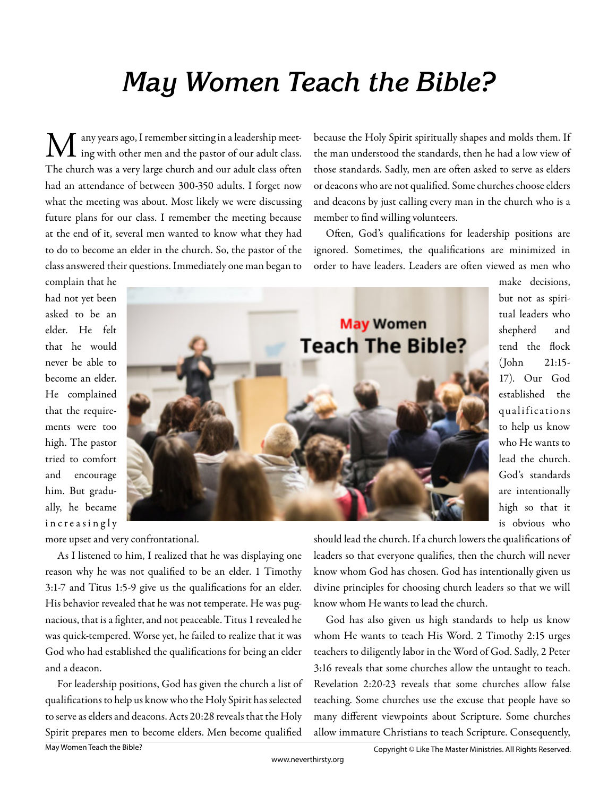## **May Women Teach the Bible?**

 $\mathbf M$  any years ago, I remember sitting in a leadership meet-<br>ing with other men and the pastor of our adult class. The church was a very large church and our adult class often had an attendance of between 300-350 adults. I forget now what the meeting was about. Most likely we were discussing future plans for our class. I remember the meeting because at the end of it, several men wanted to know what they had to do to become an elder in the church. So, the pastor of the class answered their questions. Immediately one man began to

because the Holy Spirit spiritually shapes and molds them. If the man understood the standards, then he had a low view of those standards. Sadly, men are often asked to serve as elders or deacons who are not qualified. Some churches choose elders and deacons by just calling every man in the church who is a member to find willing volunteers.

Often, God's qualifications for leadership positions are ignored. Sometimes, the qualifications are minimized in order to have leaders. Leaders are often viewed as men who

complain that he had not yet been asked to be an elder. He felt that he would never be able to become an elder. He complained that the requirements were too high. The pastor tried to comfort and encourage him. But gradually, he became increasingly



make decisions, but not as spiritual leaders who shepherd and tend the flock (John 21:15- 17). Our God established the qualifications to help us know who He wants to lead the church. God's standards are intentionally high so that it is obvious who

more upset and very confrontational.

As I listened to him, I realized that he was displaying one reason why he was not qualified to be an elder. 1 Timothy 3:1-7 and Titus 1:5-9 give us the qualifications for an elder. His behavior revealed that he was not temperate. He was pugnacious, that is a fighter, and not peaceable. Titus 1 revealed he was quick-tempered. Worse yet, he failed to realize that it was God who had established the qualifications for being an elder and a deacon.

For leadership positions, God has given the church a list of qualifications to help us know who the Holy Spirit has selected to serve as elders and deacons. Acts 20:28 reveals that the Holy Spirit prepares men to become elders. Men become qualified

should lead the church. If a church lowers the qualifications of leaders so that everyone qualifies, then the church will never know whom God has chosen. God has intentionally given us divine principles for choosing church leaders so that we will know whom He wants to lead the church.

God has also given us high standards to help us know whom He wants to teach His Word. 2 Timothy 2:15 urges teachers to diligently labor in the Word of God. Sadly, 2 Peter 3:16 reveals that some churches allow the untaught to teach. Revelation 2:20-23 reveals that some churches allow false teaching. Some churches use the excuse that people have so many different viewpoints about Scripture. Some churches allow immature Christians to teach Scripture. Consequently,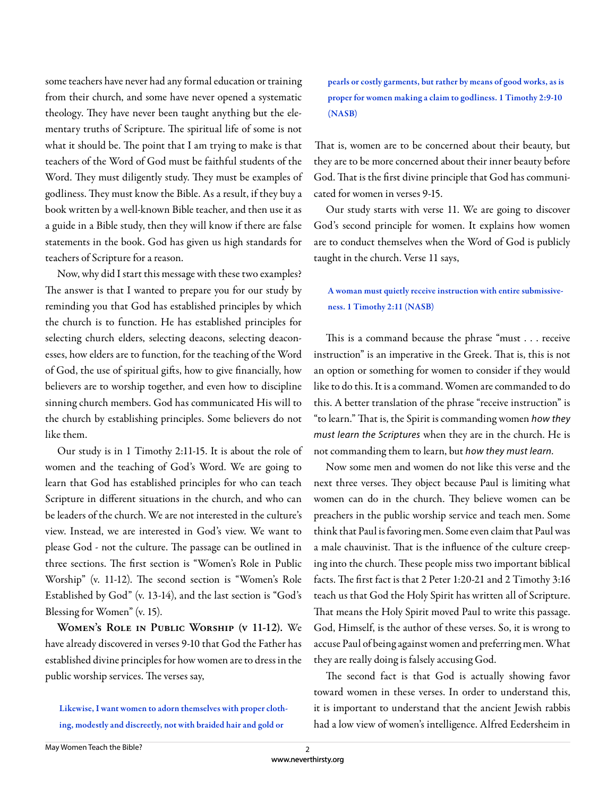some teachers have never had any formal education or training from their church, and some have never opened a systematic theology. They have never been taught anything but the elementary truths of Scripture. The spiritual life of some is not what it should be. The point that I am trying to make is that teachers of the Word of God must be faithful students of the Word. They must diligently study. They must be examples of godliness. They must know the Bible. As a result, if they buy a book written by a well-known Bible teacher, and then use it as a guide in a Bible study, then they will know if there are false statements in the book. God has given us high standards for teachers of Scripture for a reason.

Now, why did I start this message with these two examples? The answer is that I wanted to prepare you for our study by reminding you that God has established principles by which the church is to function. He has established principles for selecting church elders, selecting deacons, selecting deaconesses, how elders are to function, for the teaching of the Word of God, the use of spiritual gifts, how to give financially, how believers are to worship together, and even how to discipline sinning church members. God has communicated His will to the church by establishing principles. Some believers do not like them.

Our study is in 1 Timothy 2:11-15. It is about the role of women and the teaching of God's Word. We are going to learn that God has established principles for who can teach Scripture in different situations in the church, and who can be leaders of the church. We are not interested in the culture's view. Instead, we are interested in God's view. We want to please God - not the culture. The passage can be outlined in three sections. The first section is "Women's Role in Public Worship" (v. 11-12). The second section is "Women's Role Established by God" (v. 13-14), and the last section is "God's Blessing for Women" (v. 15).

**Women's Role in Public Worship (v 11-12).** We have already discovered in verses 9-10 that God the Father has established divine principles for how women are to dress in the public worship services. The verses say,

Likewise, I want women to adorn themselves with proper clothing, modestly and discreetly, not with braided hair and gold or

pearls or costly garments, but rather by means of good works, as is proper for women making a claim to godliness. 1 Timothy 2:9-10 (NASB)

That is, women are to be concerned about their beauty, but they are to be more concerned about their inner beauty before God. That is the first divine principle that God has communicated for women in verses 9-15.

Our study starts with verse 11. We are going to discover God's second principle for women. It explains how women are to conduct themselves when the Word of God is publicly taught in the church. Verse 11 says,

## A woman must quietly receive instruction with entire submissiveness. 1 Timothy 2:11 (NASB)

This is a command because the phrase "must . . . receive instruction" is an imperative in the Greek. That is, this is not an option or something for women to consider if they would like to do this. It is a command. Women are commanded to do this. A better translation of the phrase "receive instruction" is "to learn." That is, the Spirit is commanding women how they must learn the Scriptures when they are in the church. He is not commanding them to learn, but how they must learn.

Now some men and women do not like this verse and the next three verses. They object because Paul is limiting what women can do in the church. They believe women can be preachers in the public worship service and teach men. Some think that Paul is favoring men. Some even claim that Paul was a male chauvinist. That is the influence of the culture creeping into the church. These people miss two important biblical facts. The first fact is that 2 Peter 1:20-21 and 2 Timothy 3:16 teach us that God the Holy Spirit has written all of Scripture. That means the Holy Spirit moved Paul to write this passage. God, Himself, is the author of these verses. So, it is wrong to accuse Paul of being against women and preferring men. What they are really doing is falsely accusing God.

The second fact is that God is actually showing favor toward women in these verses. In order to understand this, it is important to understand that the ancient Jewish rabbis had a low view of women's intelligence. Alfred Eedersheim in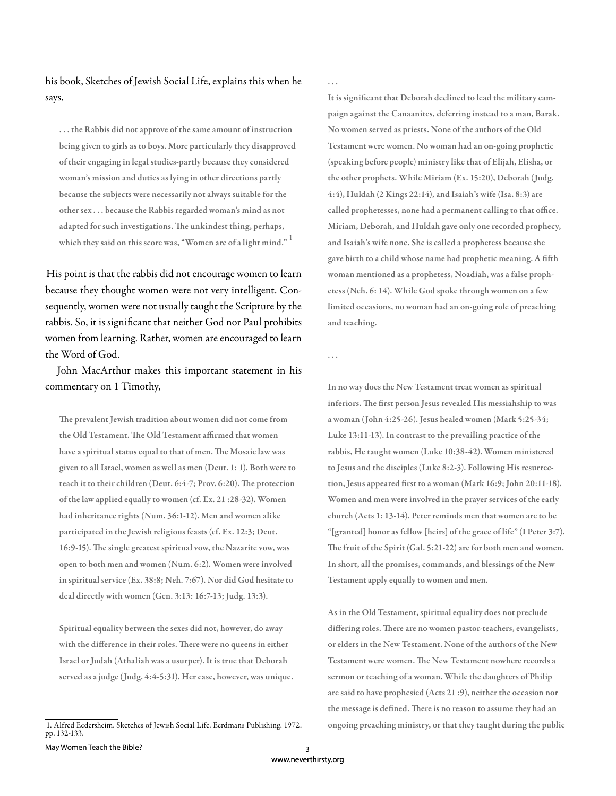his book, Sketches of Jewish Social Life, explains this when he says,

. . . the Rabbis did not approve of the same amount of instruction being given to girls as to boys. More particularly they disapproved of their engaging in legal studies-partly because they considered woman's mission and duties as lying in other directions partly because the subjects were necessarily not always suitable for the other sex . . . because the Rabbis regarded woman's mind as not adapted for such investigations. The unkindest thing, perhaps, which they said on this score was, "Women are of a light mind."  $^\mathrm{1}$ 

His point is that the rabbis did not encourage women to learn because they thought women were not very intelligent. Consequently, women were not usually taught the Scripture by the rabbis. So, it is significant that neither God nor Paul prohibits women from learning. Rather, women are encouraged to learn the Word of God.

John MacArthur makes this important statement in his commentary on 1 Timothy,

The prevalent Jewish tradition about women did not come from the Old Testament. The Old Testament affirmed that women have a spiritual status equal to that of men. The Mosaic law was given to all Israel, women as well as men (Deut. 1: 1). Both were to teach it to their children (Deut.  $6:4-7$ ; Prov.  $6:20$ ). The protection of the law applied equally to women (cf. Ex. 21 :28-32). Women had inheritance rights (Num. 36:1-12). Men and women alike participated in the Jewish religious feasts (cf. Ex. 12:3; Deut. 16:9-15). The single greatest spiritual vow, the Nazarite vow, was open to both men and women (Num. 6:2). Women were involved in spiritual service (Ex. 38:8; Neh. 7:67). Nor did God hesitate to deal directly with women (Gen. 3:13: 16:7-13; Judg. 13:3).

Spiritual equality between the sexes did not, however, do away with the difference in their roles. There were no queens in either Israel or Judah (Athaliah was a usurper). It is true that Deborah served as a judge (Judg. 4:4-5:31). Her case, however, was unique. . . .

It is significant that Deborah declined to lead the military campaign against the Canaanites, deferring instead to a man, Barak. No women served as priests. None of the authors of the Old Testament were women. No woman had an on-going prophetic (speaking before people) ministry like that of Elijah, Elisha, or the other prophets. While Miriam (Ex. 15:20), Deborah (Judg. 4:4), Huldah (2 Kings 22:14), and Isaiah's wife (Isa. 8:3) are called prophetesses, none had a permanent calling to that office. Miriam, Deborah, and Huldah gave only one recorded prophecy, and Isaiah's wife none. She is called a prophetess because she gave birth to a child whose name had prophetic meaning. A fifth woman mentioned as a prophetess, Noadiah, was a false prophetess (Neh. 6: 14). While God spoke through women on a few limited occasions, no woman had an on-going role of preaching and teaching.

. . .

In no way does the New Testament treat women as spiritual inferiors. The first person Jesus revealed His messiahship to was a woman (John 4:25-26). Jesus healed women (Mark 5:25-34; Luke 13:11-13). In contrast to the prevailing practice of the rabbis, He taught women (Luke 10:38-42). Women ministered to Jesus and the disciples (Luke 8:2-3). Following His resurrection, Jesus appeared first to a woman (Mark 16:9; John 20:11-18). Women and men were involved in the prayer services of the early church (Acts 1: 13-14). Peter reminds men that women are to be "[granted] honor as fellow [heirs] of the grace of life" (I Peter 3:7). The fruit of the Spirit (Gal. 5:21-22) are for both men and women. In short, all the promises, commands, and blessings of the New Testament apply equally to women and men.

As in the Old Testament, spiritual equality does not preclude differing roles. There are no women pastor-teachers, evangelists, or elders in the New Testament. None of the authors of the New Testament were women. The New Testament nowhere records a sermon or teaching of a woman. While the daughters of Philip are said to have prophesied (Acts 21 :9), neither the occasion nor the message is defined. There is no reason to assume they had an ongoing preaching ministry, or that they taught during the public

<sup>1.</sup> Alfred Eedersheim. Sketches of Jewish Social Life. Eerdmans Publishing. 1972. pp. 132-133.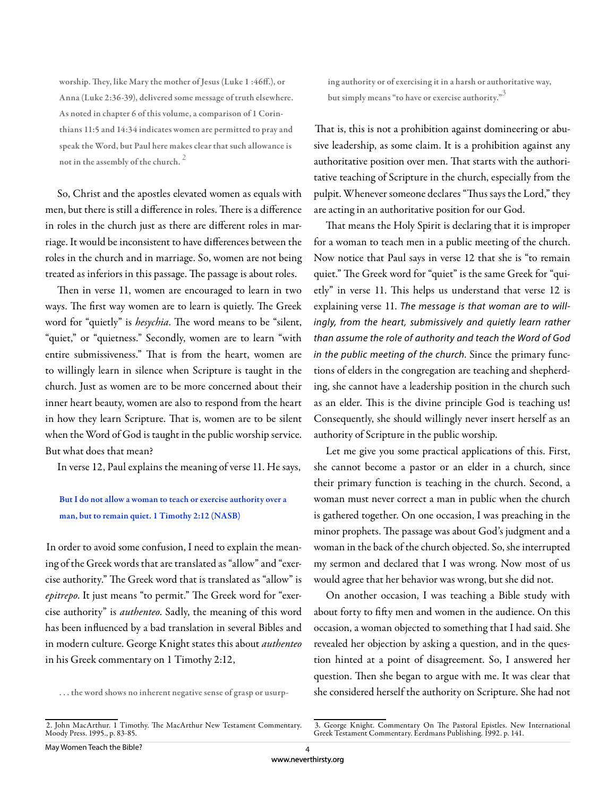worship. They, like Mary the mother of Jesus (Luke 1:46ff.), or Anna (Luke 2:36-39), delivered some message of truth elsewhere. As noted in chapter 6 of this volume, a comparison of 1 Corinthians 11:5 and 14:34 indicates women are permitted to pray and speak the Word, but Paul here makes clear that such allowance is not in the assembly of the church.<sup>2</sup>

So, Christ and the apostles elevated women as equals with men, but there is still a difference in roles. There is a difference in roles in the church just as there are different roles in marriage. It would be inconsistent to have differences between the roles in the church and in marriage. So, women are not being treated as inferiors in this passage. The passage is about roles.

Then in verse 11, women are encouraged to learn in two ways. The first way women are to learn is quietly. The Greek word for "quietly" is *hesychia*. The word means to be "silent, "quiet," or "quietness." Secondly, women are to learn "with entire submissiveness." That is from the heart, women are to willingly learn in silence when Scripture is taught in the church. Just as women are to be more concerned about their inner heart beauty, women are also to respond from the heart in how they learn Scripture. That is, women are to be silent when the Word of God is taught in the public worship service. But what does that mean?

In verse 12, Paul explains the meaning of verse 11. He says,

## But I do not allow a woman to teach or exercise authority over a man, but to remain quiet. 1 Timothy 2:12 (NASB)

In order to avoid some confusion, I need to explain the meaning of the Greek words that are translated as "allow" and "exercise authority." The Greek word that is translated as "allow" is *epitrepo*. It just means "to permit." The Greek word for "exercise authority" is *authenteo*. Sadly, the meaning of this word has been influenced by a bad translation in several Bibles and in modern culture. George Knight states this about *authenteo* in his Greek commentary on 1 Timothy 2:12,

. . . the word shows no inherent negative sense of grasp or usurp-

ing authority or of exercising it in a harsh or authoritative way, but simply means "to have or exercise authority."<sup>3</sup>

That is, this is not a prohibition against domineering or abusive leadership, as some claim. It is a prohibition against any authoritative position over men. That starts with the authoritative teaching of Scripture in the church, especially from the pulpit. Whenever someone declares "Thus says the Lord," they are acting in an authoritative position for our God.

That means the Holy Spirit is declaring that it is improper for a woman to teach men in a public meeting of the church. Now notice that Paul says in verse 12 that she is "to remain quiet." The Greek word for "quiet" is the same Greek for "quietly" in verse 11. This helps us understand that verse 12 is explaining verse 11. The message is that woman are to willingly, from the heart, submissively and quietly learn rather than assume the role of authority and teach the Word of God in the public meeting of the church. Since the primary functions of elders in the congregation are teaching and shepherding, she cannot have a leadership position in the church such as an elder. This is the divine principle God is teaching us! Consequently, she should willingly never insert herself as an authority of Scripture in the public worship.

Let me give you some practical applications of this. First, she cannot become a pastor or an elder in a church, since their primary function is teaching in the church. Second, a woman must never correct a man in public when the church is gathered together. On one occasion, I was preaching in the minor prophets. The passage was about God's judgment and a woman in the back of the church objected. So, she interrupted my sermon and declared that I was wrong. Now most of us would agree that her behavior was wrong, but she did not.

On another occasion, I was teaching a Bible study with about forty to fifty men and women in the audience. On this occasion, a woman objected to something that I had said. She revealed her objection by asking a question, and in the question hinted at a point of disagreement. So, I answered her question. Then she began to argue with me. It was clear that she considered herself the authority on Scripture. She had not

<sup>2.</sup> John MacArthur. 1 Timothy. The MacArthur New Testament Commentary. Moody Press. 1995., p. 83-85.

<sup>3.</sup> George Knight. Commentary On The Pastoral Epistles. New International Greek Testament Commentary. Eerdmans Publishing. 1992. p. 141.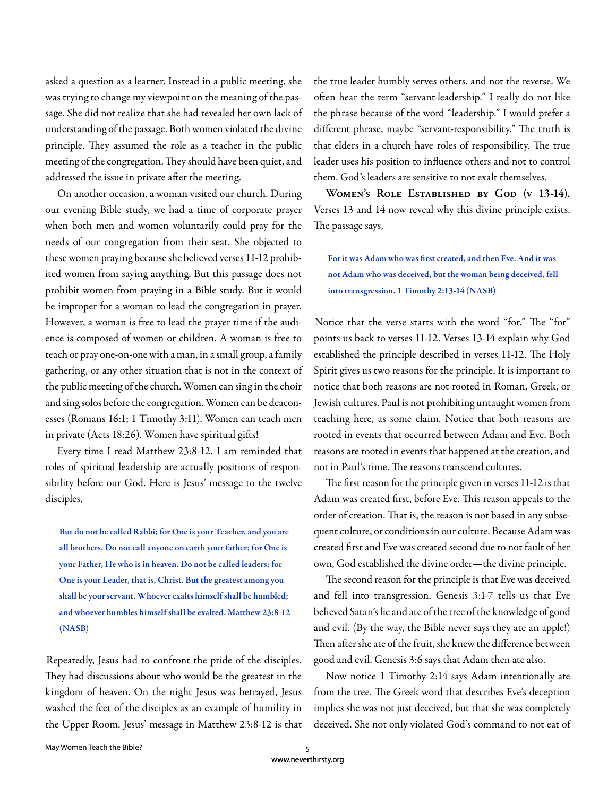asked a question as a learner. Instead in a public meeting, she was trying to change my viewpoint on the meaning of the passage. She did not realize that she had revealed her own lack of understanding of the passage. Both women violated the divine principle. They assumed the role as a teacher in the public meeting of the congregation. They should have been quiet, and addressed the issue in private after the meeting.

On another occasion, a woman visited our church. During our evening Bible study, we had a time of corporate prayer when both men and women voluntarily could pray for the needs of our congregation from their seat. She objected to these women praying because she believed verses 11-12 prohibited women from saying anything. But this passage does not prohibit women from praying in a Bible study. But it would be improper for a woman to lead the congregation in prayer. However, a woman is free to lead the prayer time if the audience is composed of women or children. A woman is free to teach or pray one-on-one with a man, in a small group, a family gathering, or any other situation that is not in the context of the public meeting of the church. Women can sing in the choir and sing solos before the congregation. Women can be deaconesses (Romans 16:1; 1 Timothy 3:11). Women can teach men in private (Acts 18:26). Women have spiritual gifts!

Every time I read Matthew 23:8-12, I am reminded that roles of spiritual leadership are actually positions of responsibility before our God. Here is Jesus' message to the twelve disciples,

But do not be called Rabbi; for One is your Teacher, and you are all brothers. Do not call anyone on earth your father; for One is your Father, He who is in heaven. Do not be called leaders; for One is your Leader, that is, Christ. But the greatest among you shall be your servant. Whoever exalts himself shall be humbled; and whoever humbles himself shall be exalted. Matthew 23:8-12 (NASB)

Repeatedly, Jesus had to confront the pride of the disciples. They had discussions about who would be the greatest in the kingdom of heaven. On the night Jesus was betrayed, Jesus washed the feet of the disciples as an example of humility in the Upper Room. Jesus' message in Matthew 23:8-12 is that

the true leader humbly serves others, and not the reverse. We often hear the term "servant-leadership." I really do not like the phrase because of the word "leadership." I would prefer a different phrase, maybe "servant-responsibility." The truth is that elders in a church have roles of responsibility. The true leader uses his position to influence others and not to control them. God's leaders are sensitive to not exalt themselves.

**Women's Role Established by God (v 13-14).**  Verses 13 and 14 now reveal why this divine principle exists. The passage says,

For it was Adam who was first created, and then Eve. And it was not Adam who was deceived, but the woman being deceived, fell into transgression. 1 Timothy 2:13-14 (NASB)

Notice that the verse starts with the word "for." The "for" points us back to verses 11-12. Verses 13-14 explain why God established the principle described in verses 11-12. The Holy Spirit gives us two reasons for the principle. It is important to notice that both reasons are not rooted in Roman, Greek, or Jewish cultures. Paul is not prohibiting untaught women from teaching here, as some claim. Notice that both reasons are rooted in events that occurred between Adam and Eve. Both reasons are rooted in events that happened at the creation, and not in Paul's time. The reasons transcend cultures.

The first reason for the principle given in verses 11-12 is that Adam was created first, before Eve. This reason appeals to the order of creation. That is, the reason is not based in any subsequent culture, or conditions in our culture. Because Adam was created first and Eve was created second due to not fault of her own, God established the divine order—the divine principle.

The second reason for the principle is that Eve was deceived and fell into transgression. Genesis 3:1-7 tells us that Eve believed Satan's lie and ate of the tree of the knowledge of good and evil. (By the way, the Bible never says they ate an apple!) Then after she ate of the fruit, she knew the difference between good and evil. Genesis 3:6 says that Adam then ate also.

Now notice 1 Timothy 2:14 says Adam intentionally ate from the tree. The Greek word that describes Eve's deception implies she was not just deceived, but that she was completely deceived. She not only violated God's command to not eat of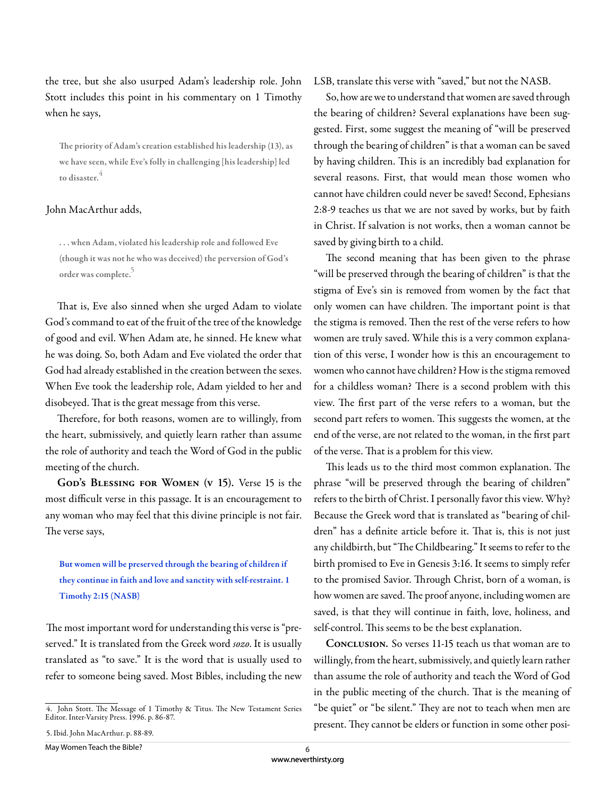the tree, but she also usurped Adam's leadership role. John Stott includes this point in his commentary on 1 Timothy when he says,

The priority of Adam's creation established his leadership (13), as we have seen, while Eve's folly in challenging [his leadership] led to disaster.

## John MacArthur adds,

. . . when Adam, violated his leadership role and followed Eve (though it was not he who was deceived) the perversion of God's order was complete.

That is, Eve also sinned when she urged Adam to violate God's command to eat of the fruit of the tree of the knowledge of good and evil. When Adam ate, he sinned. He knew what he was doing. So, both Adam and Eve violated the order that God had already established in the creation between the sexes. When Eve took the leadership role, Adam yielded to her and disobeyed. That is the great message from this verse.

Therefore, for both reasons, women are to willingly, from the heart, submissively, and quietly learn rather than assume the role of authority and teach the Word of God in the public meeting of the church.

GOD'S BLESSING FOR WOMEN (v 15). Verse 15 is the most difficult verse in this passage. It is an encouragement to any woman who may feel that this divine principle is not fair. The verse says,

But women will be preserved through the bearing of children if they continue in faith and love and sanctity with self-restraint. 1 Timothy 2:15 (NASB)

The most important word for understanding this verse is "preserved." It is translated from the Greek word *sozo*. It is usually translated as "to save." It is the word that is usually used to refer to someone being saved. Most Bibles, including the new

LSB, translate this verse with "saved," but not the NASB.

So, how are we to understand that women are saved through the bearing of children? Several explanations have been suggested. First, some suggest the meaning of "will be preserved through the bearing of children" is that a woman can be saved by having children. This is an incredibly bad explanation for several reasons. First, that would mean those women who cannot have children could never be saved! Second, Ephesians 2:8-9 teaches us that we are not saved by works, but by faith in Christ. If salvation is not works, then a woman cannot be saved by giving birth to a child.

The second meaning that has been given to the phrase "will be preserved through the bearing of children" is that the stigma of Eve's sin is removed from women by the fact that only women can have children. The important point is that the stigma is removed. Then the rest of the verse refers to how women are truly saved. While this is a very common explanation of this verse, I wonder how is this an encouragement to women who cannot have children? How is the stigma removed for a childless woman? There is a second problem with this view. The first part of the verse refers to a woman, but the second part refers to women. This suggests the women, at the end of the verse, are not related to the woman, in the first part of the verse. That is a problem for this view.

This leads us to the third most common explanation. The phrase "will be preserved through the bearing of children" refers to the birth of Christ. I personally favor this view. Why? Because the Greek word that is translated as "bearing of children" has a definite article before it. That is, this is not just any childbirth, but "The Childbearing." It seems to refer to the birth promised to Eve in Genesis 3:16. It seems to simply refer to the promised Savior. Through Christ, born of a woman, is how women are saved. The proof anyone, including women are saved, is that they will continue in faith, love, holiness, and self-control. This seems to be the best explanation.

**Conclusion.** So verses 11-15 teach us that woman are to willingly, from the heart, submissively, and quietly learn rather than assume the role of authority and teach the Word of God in the public meeting of the church. That is the meaning of "be quiet" or "be silent." They are not to teach when men are present. They cannot be elders or function in some other posi-

<sup>4.</sup> John Stott. The Message of 1 Timothy & Titus. The New Testament Series Editor. Inter-Varsity Press. 1996. p. 86-87.

<sup>5.</sup> Ibid. John MacArthur. p. 88-89.

May Women Teach the Bible?